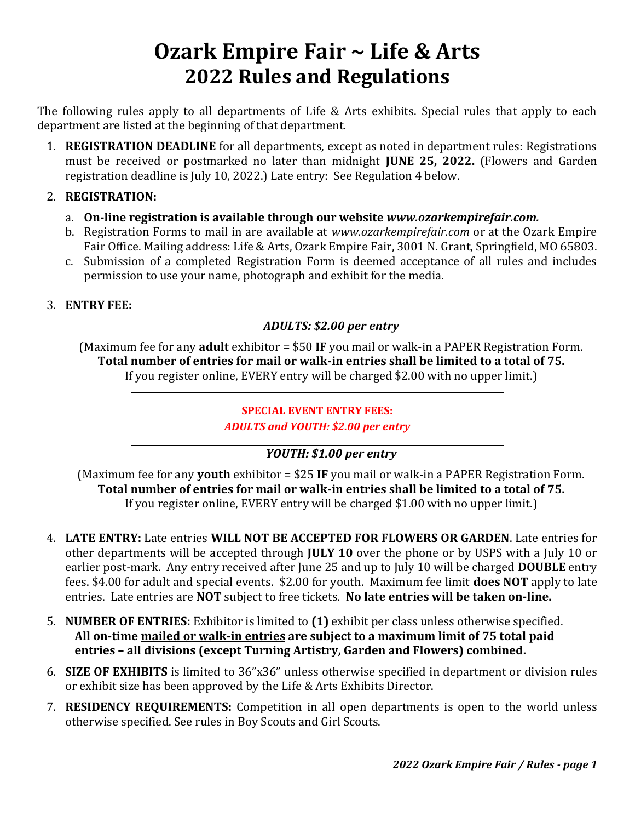# **Ozark Empire Fair ~ Life & Arts 2022 Rules and Regulations**

The following rules apply to all departments of Life & Arts exhibits. Special rules that apply to each department are listed at the beginning of that department.

1. **REGISTRATION DEADLINE** for all departments, except as noted in department rules: Registrations must be received or postmarked no later than midnight **JUNE 25, 2022.** (Flowers and Garden registration deadline is July 10, 2022.) Late entry: See Regulation 4 below.

## 2. **REGISTRATION:**

- a. **On-line registration is available through our website** *www.ozarkempirefair.com.*
- b. Registration Forms to mail in are available at *www.ozarkempirefair.com* or at the Ozark Empire Fair Office. Mailing address: Life & Arts, Ozark Empire Fair, 3001 N. Grant, Springfield, MO 65803.
- c. Submission of a completed Registration Form is deemed acceptance of all rules and includes permission to use your name, photograph and exhibit for the media.

#### 3. **ENTRY FEE:**

### *ADULTS: \$2.00 per entry*

(Maximum fee for any **adult** exhibitor = \$50 **IF** you mail or walk-in a PAPER Registration Form. **Total number of entries for mail or walk-in entries shall be limited to a total of 75.** If you register online, EVERY entry will be charged \$2.00 with no upper limit.)

## **SPECIAL EVENT ENTRY FEES:** *ADULTS and YOUTH: \$2.00 per entry*

# *YOUTH: \$1.00 per entry*

(Maximum fee for any **youth** exhibitor = \$25 **IF** you mail or walk-in a PAPER Registration Form. **Total number of entries for mail or walk-in entries shall be limited to a total of 75.** If you register online, EVERY entry will be charged \$1.00 with no upper limit.)

- 4. **LATE ENTRY:** Late entries **WILL NOT BE ACCEPTED FOR FLOWERS OR GARDEN**. Late entries for other departments will be accepted through **JULY 10** over the phone or by USPS with a July 10 or earlier post-mark. Any entry received after June 25 and up to July 10 will be charged **DOUBLE** entry fees. \$4.00 for adult and special events. \$2.00 for youth. Maximum fee limit **does NOT** apply to late entries. Late entries are **NOT** subject to free tickets. **No late entries will be taken on-line.**
- 5. **NUMBER OF ENTRIES:** Exhibitor is limited to **(1)** exhibit per class unless otherwise specified. **All on-time mailed or walk-in entries are subject to a maximum limit of 75 total paid entries – all divisions (except Turning Artistry, Garden and Flowers) combined.**
- 6. **SIZE OF EXHIBITS** is limited to 36"x36" unless otherwise specified in department or division rules or exhibit size has been approved by the Life & Arts Exhibits Director.
- 7. **RESIDENCY REQUIREMENTS:** Competition in all open departments is open to the world unless otherwise specified. See rules in Boy Scouts and Girl Scouts.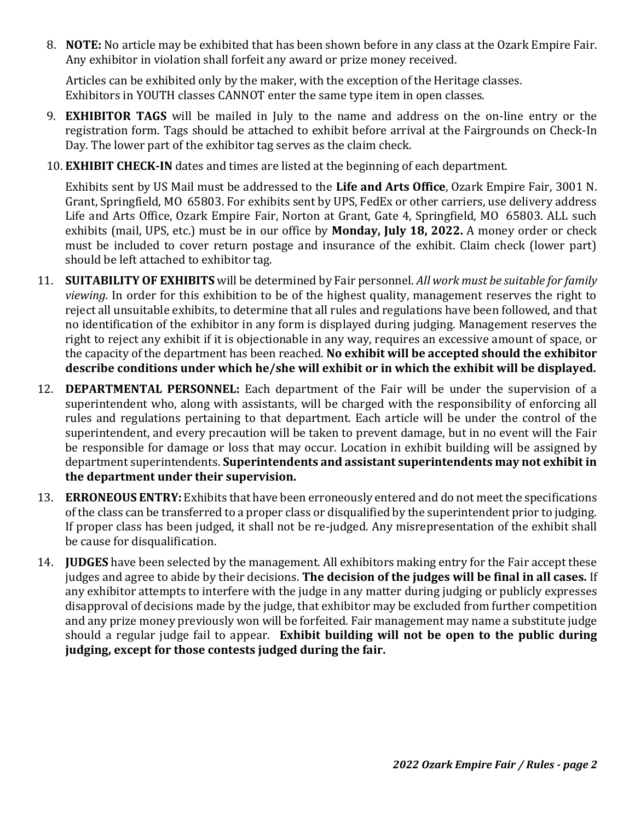8. **NOTE:** No article may be exhibited that has been shown before in any class at the Ozark Empire Fair. Any exhibitor in violation shall forfeit any award or prize money received.

Articles can be exhibited only by the maker, with the exception of the Heritage classes. Exhibitors in YOUTH classes CANNOT enter the same type item in open classes.

- 9. **EXHIBITOR TAGS** will be mailed in July to the name and address on the on-line entry or the registration form. Tags should be attached to exhibit before arrival at the Fairgrounds on Check-In Day. The lower part of the exhibitor tag serves as the claim check.
- 10. **EXHIBIT CHECK-IN** dates and times are listed at the beginning of each department.

Exhibits sent by US Mail must be addressed to the **Life and Arts Office**, Ozark Empire Fair, 3001 N. Grant, Springfield, MO 65803. For exhibits sent by UPS, FedEx or other carriers, use delivery address Life and Arts Office, Ozark Empire Fair, Norton at Grant, Gate 4, Springfield, MO 65803. ALL such exhibits (mail, UPS, etc.) must be in our office by **Monday, July 18, 2022.** A money order or check must be included to cover return postage and insurance of the exhibit. Claim check (lower part) should be left attached to exhibitor tag.

- 11. **SUITABILITY OF EXHIBITS** will be determined by Fair personnel. *All work must be suitable for family viewing.* In order for this exhibition to be of the highest quality, management reserves the right to reject all unsuitable exhibits, to determine that all rules and regulations have been followed, and that no identification of the exhibitor in any form is displayed during judging. Management reserves the right to reject any exhibit if it is objectionable in any way, requires an excessive amount of space, or the capacity of the department has been reached. **No exhibit will be accepted should the exhibitor describe conditions under which he/she will exhibit or in which the exhibit will be displayed.**
- 12. **DEPARTMENTAL PERSONNEL:** Each department of the Fair will be under the supervision of a superintendent who, along with assistants, will be charged with the responsibility of enforcing all rules and regulations pertaining to that department. Each article will be under the control of the superintendent, and every precaution will be taken to prevent damage, but in no event will the Fair be responsible for damage or loss that may occur. Location in exhibit building will be assigned by department superintendents. **Superintendents and assistant superintendents may not exhibit in the department under their supervision.**
- 13. **ERRONEOUS ENTRY:** Exhibits that have been erroneously entered and do not meet the specifications of the class can be transferred to a proper class or disqualified by the superintendent prior to judging. If proper class has been judged, it shall not be re-judged. Any misrepresentation of the exhibit shall be cause for disqualification.
- 14. **JUDGES** have been selected by the management. All exhibitors making entry for the Fair accept these judges and agree to abide by their decisions. **The decision of the judges will be final in all cases.** If any exhibitor attempts to interfere with the judge in any matter during judging or publicly expresses disapproval of decisions made by the judge, that exhibitor may be excluded from further competition and any prize money previously won will be forfeited. Fair management may name a substitute judge should a regular judge fail to appear. **Exhibit building will not be open to the public during judging, except for those contests judged during the fair.**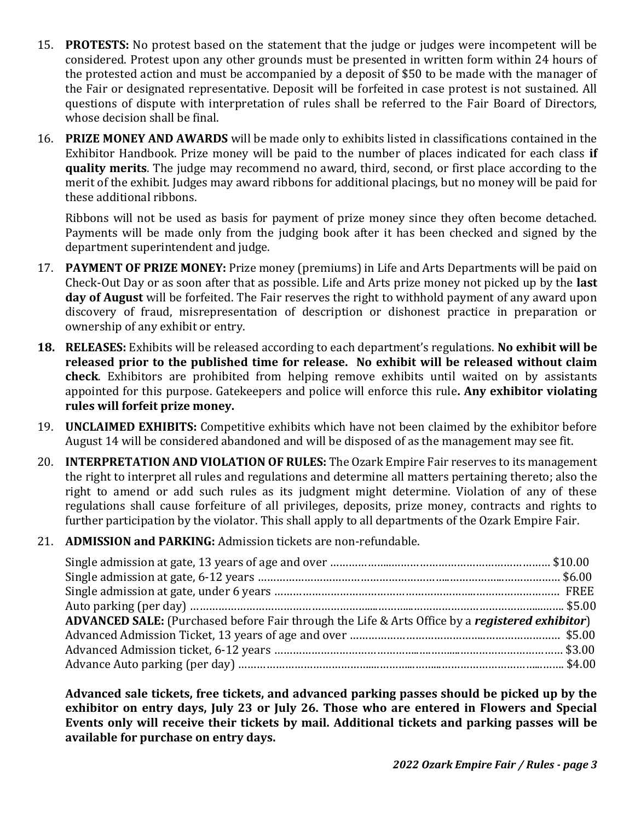- 15. **PROTESTS:** No protest based on the statement that the judge or judges were incompetent will be considered. Protest upon any other grounds must be presented in written form within 24 hours of the protested action and must be accompanied by a deposit of \$50 to be made with the manager of the Fair or designated representative. Deposit will be forfeited in case protest is not sustained. All questions of dispute with interpretation of rules shall be referred to the Fair Board of Directors, whose decision shall be final.
- 16. **PRIZE MONEY AND AWARDS** will be made only to exhibits listed in classifications contained in the Exhibitor Handbook. Prize money will be paid to the number of places indicated for each class **if quality merits**. The judge may recommend no award, third, second, or first place according to the merit of the exhibit. Judges may award ribbons for additional placings, but no money will be paid for these additional ribbons.

Ribbons will not be used as basis for payment of prize money since they often become detached. Payments will be made only from the judging book after it has been checked and signed by the department superintendent and judge.

- 17. **PAYMENT OF PRIZE MONEY:** Prize money (premiums) in Life and Arts Departments will be paid on Check-Out Day or as soon after that as possible. Life and Arts prize money not picked up by the **last day of August** will be forfeited. The Fair reserves the right to withhold payment of any award upon discovery of fraud, misrepresentation of description or dishonest practice in preparation or ownership of any exhibit or entry.
- **18. RELEASES:** Exhibits will be released according to each department's regulations. **No exhibit will be released prior to the published time for release. No exhibit will be released without claim check**. Exhibitors are prohibited from helping remove exhibits until waited on by assistants appointed for this purpose. Gatekeepers and police will enforce this rule**. Any exhibitor violating rules will forfeit prize money.**
- 19. **UNCLAIMED EXHIBITS:** Competitive exhibits which have not been claimed by the exhibitor before August 14 will be considered abandoned and will be disposed of as the management may see fit.
- 20. **INTERPRETATION AND VIOLATION OF RULES:** The Ozark Empire Fair reserves to its management the right to interpret all rules and regulations and determine all matters pertaining thereto; also the right to amend or add such rules as its judgment might determine. Violation of any of these regulations shall cause forfeiture of all privileges, deposits, prize money, contracts and rights to further participation by the violator. This shall apply to all departments of the Ozark Empire Fair.
- 21. **ADMISSION and PARKING:** Admission tickets are non-refundable.

| ADVANCED SALE: (Purchased before Fair through the Life & Arts Office by a registered exhibitor) |
|-------------------------------------------------------------------------------------------------|
|                                                                                                 |
|                                                                                                 |
|                                                                                                 |
|                                                                                                 |

**Advanced sale tickets, free tickets, and advanced parking passes should be picked up by the exhibitor on entry days, July 23 or July 26. Those who are entered in Flowers and Special Events only will receive their tickets by mail. Additional tickets and parking passes will be available for purchase on entry days.**